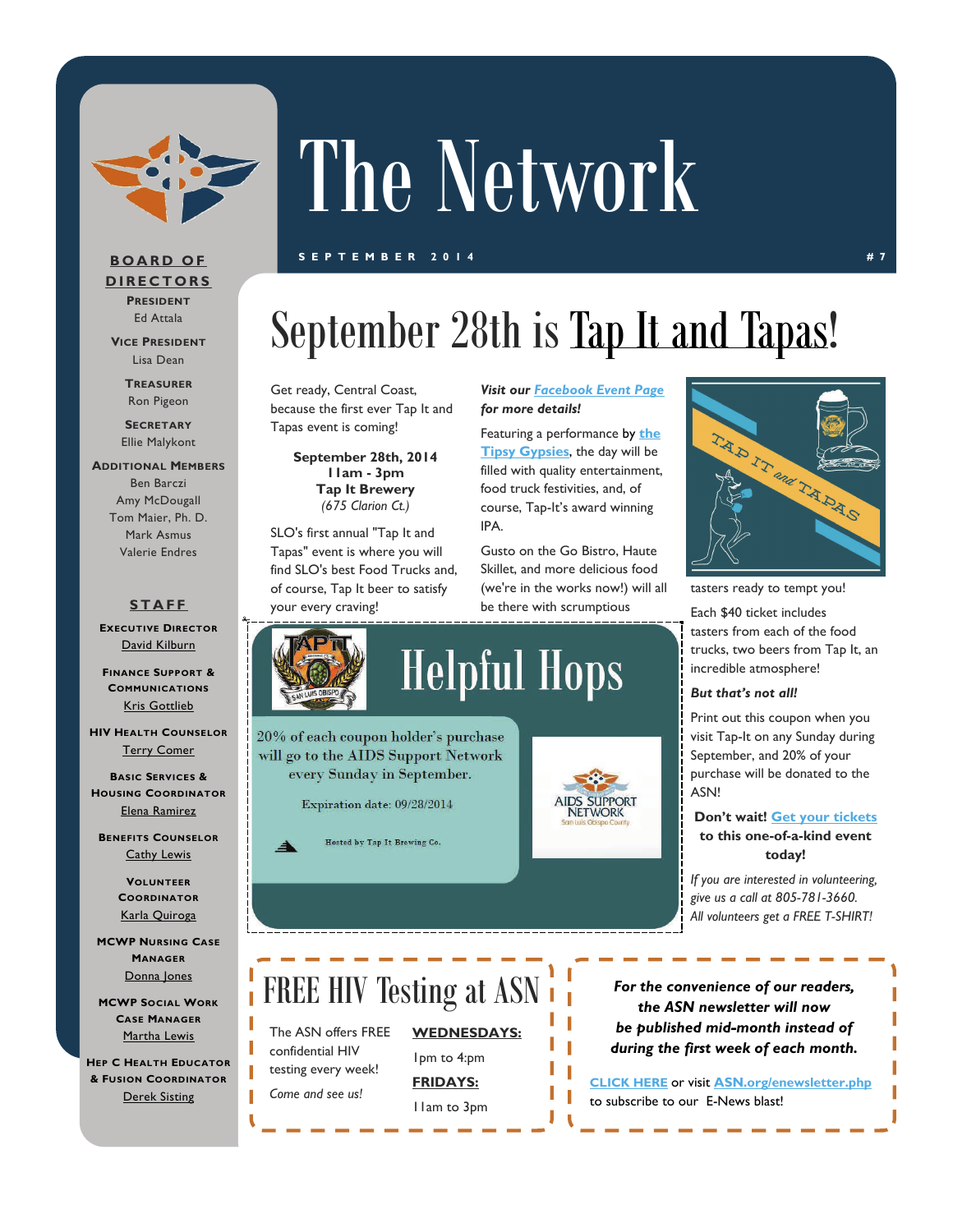

# The Network

#### **SEPTEMBER 2014 #7**

#### **BOARD OF DIRECTORS PRESIDENT**

Ed Attala

**VICE PRESIDENT** Lisa Dean

> **TREASURER** Ron Pigeon

**SECRETARY** Ellie Malykont

#### **ADDITIONAL MEMBERS** Ben Barczi Amy McDougall Tom Maier, Ph. D. Mark Asmus

### **STAFF**

Valerie Endres

**EXECUTIVE DIRECTOR** [David Kilburn](mailto:dkilburn@asn.org)

**FINANCE SUPPORT & COMMUNICATIONS** [Kris Gottlieb](mailto:kgottlieb@asn.org)

**HIV HEALTH COUNSELOR** [Terry Comer](mailto:TComer@asn.org)

**BASIC SERVICES & HOUSING COORDINATOR** [Elena Ramirez](mailto:eramirez@asn.org)

**BENEFITS COUNSELOR** [Cathy Lewis](mailto:CLewis@slohepc.org) 

> **VOLUNTEER COORDINATOR** [Karla Quiroga](mailto:kquiroga@asn.org)

**MCWP NURSING CASE MANAGER** [Donna Jones](mailto:djones@asn.org)

**MCWP SOCIAL WORK CASE MANAGER** [Martha Lewis](mailto:mlewis@asn.org)

**HEP C HEALTH EDUCATOR & FUSION COORDINATOR** [Derek Sisting](mailto:dsisting@asn.org)

# September 28th is [Tap It and Tapas](https://www.paypal.com/us/cgi-bin/webscr?cmd=_flow&SESSION=e9i6iJ-Qn9-5w0pAegaqbiF80wtbNp5pO5ius0q8E6qyk-6CYGDxuquJkAq&dispatch=50a222a57771920b6a3d7b606239e4d529b525e0b7e69bf0224adecfb0124e9b61f737ba21b08198cf7658296ddbf66bbd0b039a3775ce6f)!

Get ready, Central Coast, because the first ever Tap It and Tapas event is coming!

> **September 28th, 2014 11am - 3pm Tap It Brewery**  *(675 Clarion Ct.)*

SLO's first annual "Tap It and Tapas" event is where you will find SLO's best Food Trucks and, of course, Tap It beer to satisfy your every craving!

every Sunday in September.

Expiration date: 09/28/2014

Hosted by Tap It Brewing Co.

*Visit our [Facebook Event Page](https://www.facebook.com/events/371553479659276/) for more details!* 

Featuring a performance by **[the](http://thetipsygypsies.com/)  [Tipsy Gypsies](http://thetipsygypsies.com/)**, the day will be filled with quality entertainment, food truck festivities, and, of course, Tap-It's award winning IPA.

Gusto on the Go Bistro, Haute Skillet, and more delicious food (we're in the works now!) will all be there with scrumptious



tasters ready to tempt you!

Each \$40 ticket includes tasters from each of the food trucks, two beers from Tap It, an incredible atmosphere!

#### *But that's not all!*

Print out this coupon when you visit Tap-It on any Sunday during September, and 20% of your purchase will be donated to the ASN!

#### **Don't wait! [Get your tickets](https://www.paypal.com/us/cgi-bin/webscr?cmd=_flow&SESSION=e9i6iJ-Qn9-5w0pAegaqbiF80wtbNp5pO5ius0q8E6qyk-6CYGDxuquJkAq&dispatch=50a222a57771920b6a3d7b606239e4d529b525e0b7e69bf0224adecfb0124e9b61f737ba21b08198cf7658296ddbf66bbd0b039a3775ce6f) to this one-of-a-kind event today!**

*If you are interested in volunteering, give us a call at 805-781-3660. All volunteers get a FREE T-SHIRT!* 

### FREE HIV Testing at ASN

The ASN offers FREE confidential HIV testing every week! *Come and see us!* 

**WEDNESDAYS:**  1pm to 4:pm

**FRIDAYS:**  11am to 3pm

*For the convenience of our readers, the ASN newsletter will now be published mid-month instead of during the first week of each month.* 

**[CLICK HERE](http://www.kintera.org/AutoGen/Newsletter/SubscriptionForm.asp?ievent=234723&en=5eJzGINjF4KILSMmF3LELUODLgJGKQMvHdIGIWNELsH)** or visit **ASN.org/enewsletter.php** to subscribe to our E-News blast!

**SUPPORT** NETWORK

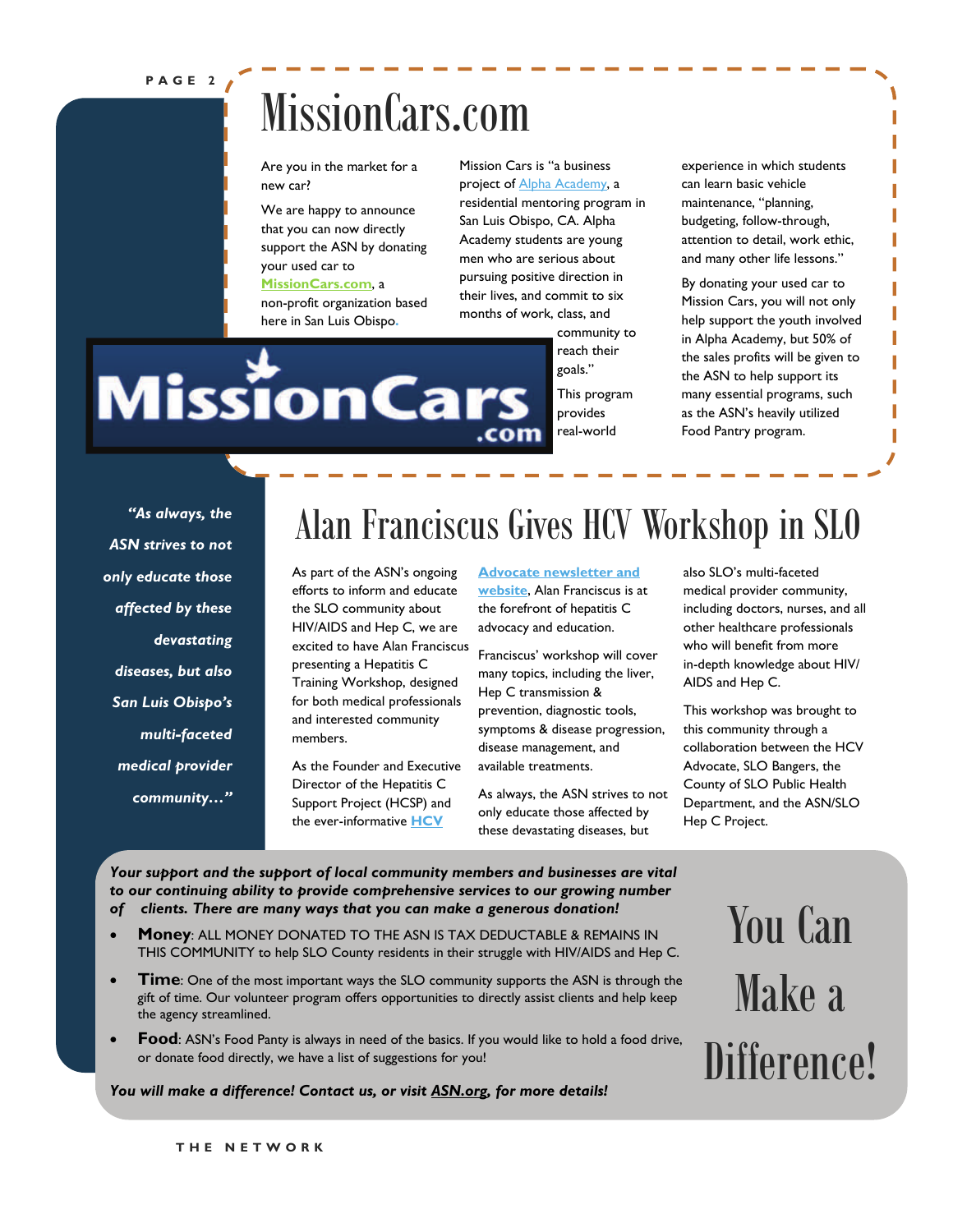#### **PAGE 2**

### MissionCars.com

Are you in the market for a new car?

We are happy to announce that you can now directly support the ASN by donating your used car to **[MissionCars.com](http://www.missioncars.com/donate/)**, a

#### non-profit organization based here in San Luis Obispo**.**

**MissionCars** 

Mission Cars is "a business project of [Alpha Academy,](http://www.alphaacademy.com/) a residential mentoring program in San Luis Obispo, CA. Alpha Academy students are young men who are serious about pursuing positive direction in their lives, and commit to six months of work, class, and

.com

community to reach their goals." This program provides real-world

experience in which students can learn basic vehicle maintenance, "planning, budgeting, follow-through, attention to detail, work ethic, and many other life lessons."

By donating your used car to Mission Cars, you will not only help support the youth involved in Alpha Academy, but 50% of the sales profits will be given to the ASN to help support its many essential programs, such as the ASN's heavily utilized Food Pantry program.

*"As always, the ASN strives to not only educate those affected by these devastating diseases, but also San Luis Obispo's multi-faceted medical provider community…"* 

### Alan Franciscus Gives HCV Workshop in SLO

As part of the ASN's ongoing efforts to inform and educate the SLO community about HIV/AIDS and Hep C, we are excited to have Alan Franciscus presenting a Hepatitis C Training Workshop, designed for both medical professionals and interested community members.

As the Founder and Executive Director of the Hepatitis C Support Project (HCSP) and the ever-informative **[HCV](http://www.hcvadvocate.org/index.asp)** 

**[Advocate newsletter and](http://www.hcvadvocate.org/index.asp)  [website](http://www.hcvadvocate.org/index.asp)**, Alan Franciscus is at the forefront of hepatitis C advocacy and education.

Franciscus' workshop will cover many topics, including the liver, Hep C transmission & prevention, diagnostic tools, symptoms & disease progression, disease management, and available treatments.

As always, the ASN strives to not only educate those affected by these devastating diseases, but

also SLO's multi-faceted medical provider community, including doctors, nurses, and all other healthcare professionals who will benefit from more in-depth knowledge about HIV/ AIDS and Hep C.

This workshop was brought to this community through a collaboration between the HCV Advocate, SLO Bangers, the County of SLO Public Health Department, and the ASN/SLO Hep C Project.

*Your support and the support of local community members and businesses are vital to our continuing ability to provide comprehensive services to our growing number of clients. There are many ways that you can make a generous donation!* 

- **Money**: ALL MONEY DONATED TO THE ASN IS TAX DEDUCTABLE & REMAINS IN THIS COMMUNITY to help SLO County residents in their struggle with HIV/AIDS and Hep C.
- **Time**: One of the most important ways the SLO community supports the ASN is through the gift of time. Our volunteer program offers opportunities to directly assist clients and help keep the agency streamlined.
- Food: ASN's Food Panty is always in need of the basics. If you would like to hold a food drive, or donate food directly, we have a list of suggestions for you!

#### *You will make a difference! Contact us, or visit [ASN.org](http://www.asn.org/), for more details!*

You Can Make a Difference!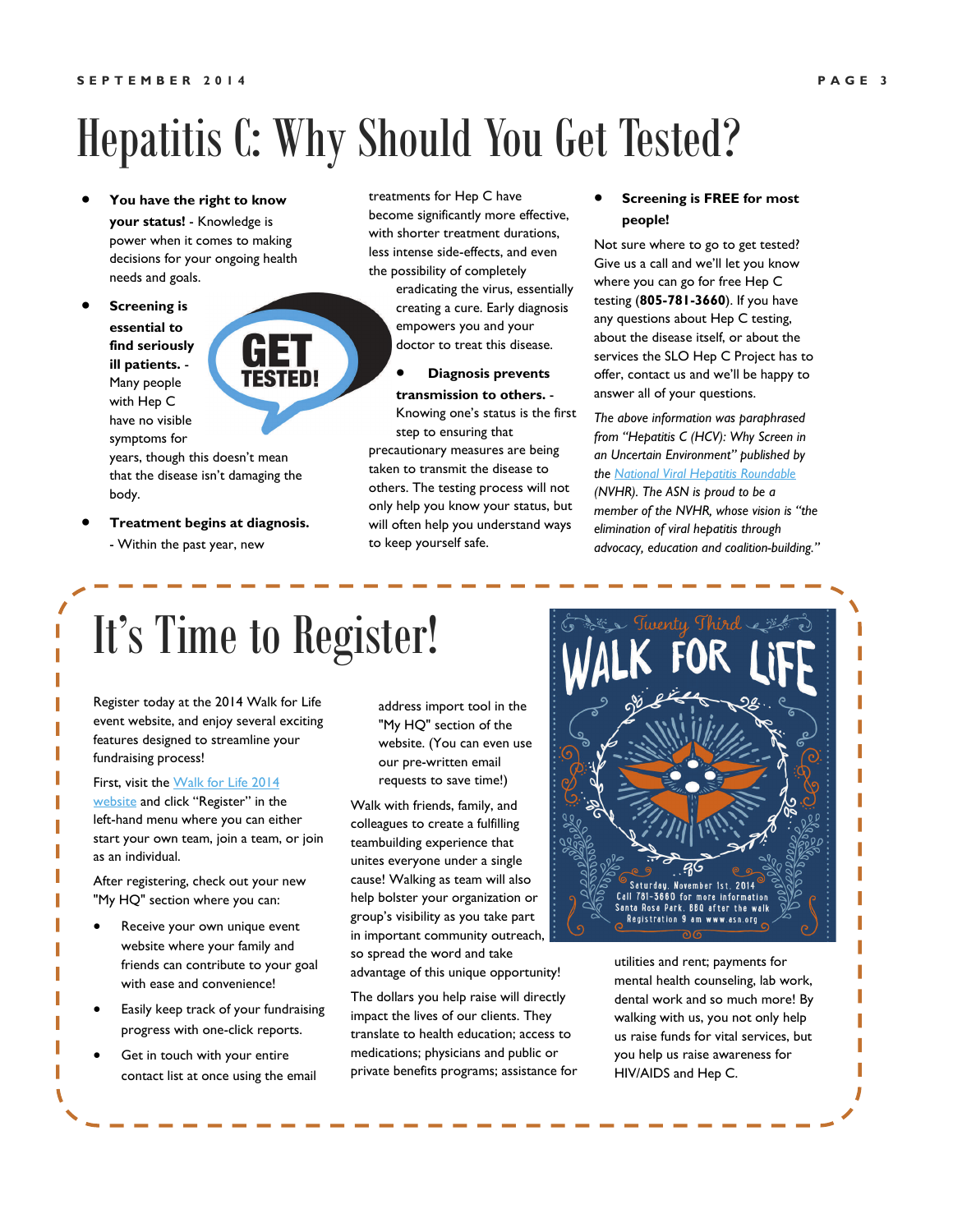## Hepatitis C: Why Should You Get Tested?

- **You have the right to know your status!** - Knowledge is power when it comes to making decisions for your ongoing health needs and goals.
- **Screening is essential to find seriously ill patients.** - Many people with Hep C have no visible symptoms for

years, though this doesn't mean that the disease isn't damaging the body.

 **Treatment begins at diagnosis.**  - Within the past year, new

treatments for Hep C have become significantly more effective, with shorter treatment durations, less intense side-effects, and even the possibility of completely

> eradicating the virus, essentially creating a cure. Early diagnosis empowers you and your doctor to treat this disease.

### **Diagnosis prevents**

**transmission to others.** - Knowing one's status is the first step to ensuring that

precautionary measures are being taken to transmit the disease to others. The testing process will not only help you know your status, but will often help you understand ways to keep yourself safe.

#### **Screening is FREE for most people!**

Not sure where to go to get tested? Give us a call and we'll let you know where you can go for free Hep C testing (**805-781-3660**). If you have any questions about Hep C testing, about the disease itself, or about the services the SLO Hep C Project has to offer, contact us and we'll be happy to answer all of your questions.

*The above information was paraphrased from "Hepatitis C (HCV): Why Screen in an Uncertain Environment" published by the National Viral Hepatitis Roundable (NVHR). The ASN is proud to be a member of the NVHR, whose vision is "the elimination of viral hepatitis through advocacy, education and coalition-building."*

# It's Time to Register!

**TESTED!** 

Register today at the 2014 Walk for Life event website, and enjoy several exciting features designed to streamline your fundraising process!

First, visit the Walk for Life 2014 [website](http://ASN.kintera.org/walk2014) and click "Register" in the left-hand menu where you can either start your own team, join a team, or join as an individual.

After registering, check out your new "My HQ" section where you can:

- Receive your own unique event website where your family and friends can contribute to your goal with ease and convenience!
- Easily keep track of your fundraising progress with one-click reports.
- Get in touch with your entire contact list at once using the email

address import tool in the "My HQ" section of the website. (You can even use our pre-written email requests to save time!)

Walk with friends, family, and colleagues to create a fulfilling teambuilding experience that unites everyone under a single cause! Walking as team will also help bolster your organization or group's visibility as you take part in important community outreach, so spread the word and take advantage of this unique opportunity!

The dollars you help raise will directly impact the lives of our clients. They translate to health education; access to medications; physicians and public or private benefits programs; assistance for



utilities and rent; payments for mental health counseling, lab work, dental work and so much more! By walking with us, you not only help us raise funds for vital services, but you help us raise awareness for HIV/AIDS and Hep C.

Ī